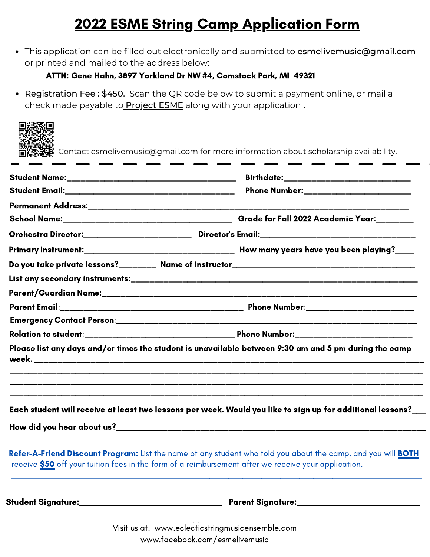## 2022 ESME String Camp Application Form

This application can be filled out electronically and submitted to esmelivemusic@gmail.com or printed and mailed to the address below:

## ATTN: Gene Hahn, 3897 Yorkland Dr NW #4, Comstock Park, MI 49321

• Registration Fee: \$450. Scan the QR code below to submit a payment online, or mail a check made payable to **Project ESME** along with your application.

| Phone Number:________________________                                                                                                                                                                                |
|----------------------------------------------------------------------------------------------------------------------------------------------------------------------------------------------------------------------|
|                                                                                                                                                                                                                      |
|                                                                                                                                                                                                                      |
|                                                                                                                                                                                                                      |
|                                                                                                                                                                                                                      |
|                                                                                                                                                                                                                      |
|                                                                                                                                                                                                                      |
|                                                                                                                                                                                                                      |
|                                                                                                                                                                                                                      |
|                                                                                                                                                                                                                      |
|                                                                                                                                                                                                                      |
|                                                                                                                                                                                                                      |
|                                                                                                                                                                                                                      |
|                                                                                                                                                                                                                      |
| Please list any days and/or times the student is unavailable between 9:30 am and 5 pm during the camp<br>Each student will receive at least two lessons per week. Would you like to sign up for additional lessons?_ |

Visit us at: www.eclecticstringmusicensemble.com [www.facebook.com/esmelivemusic](https://www.facebook.com/esmelivemusic/)